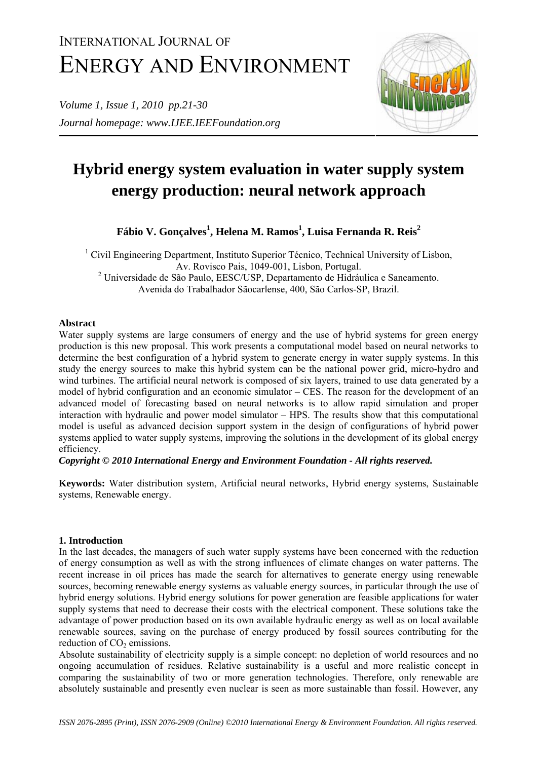# INTERNATIONAL JOURNAL OF ENERGY AND ENVIRONMENT

*Volume 1, Issue 1, 2010 pp.21-30 Journal homepage: www.IJEE.IEEFoundation.org*



## **Hybrid energy system evaluation in water supply system energy production: neural network approach**

**Fábio V. Gonçalves<sup>1</sup> , Helena M. Ramos<sup>1</sup> , Luisa Fernanda R. Reis2**

<sup>1</sup> Civil Engineering Department, Instituto Superior Técnico, Technical University of Lisbon, Av. Rovisco Pais, 1049-001, Lisbon, Portugal. <sup>2</sup> Universidade de São Paulo, EESC/USP, Departamento de Hidráulica e Saneamento. Avenida do Trabalhador Sãocarlense, 400, São Carlos-SP, Brazil.

## **Abstract**

Water supply systems are large consumers of energy and the use of hybrid systems for green energy production is this new proposal. This work presents a computational model based on neural networks to determine the best configuration of a hybrid system to generate energy in water supply systems. In this study the energy sources to make this hybrid system can be the national power grid, micro-hydro and wind turbines. The artificial neural network is composed of six layers, trained to use data generated by a model of hybrid configuration and an economic simulator – CES. The reason for the development of an advanced model of forecasting based on neural networks is to allow rapid simulation and proper interaction with hydraulic and power model simulator – HPS. The results show that this computational model is useful as advanced decision support system in the design of configurations of hybrid power systems applied to water supply systems, improving the solutions in the development of its global energy efficiency.

*Copyright © 2010 International Energy and Environment Foundation - All rights reserved.* 

**Keywords:** Water distribution system, Artificial neural networks, Hybrid energy systems, Sustainable systems, Renewable energy.

## **1. Introduction**

In the last decades, the managers of such water supply systems have been concerned with the reduction of energy consumption as well as with the strong influences of climate changes on water patterns. The recent increase in oil prices has made the search for alternatives to generate energy using renewable sources, becoming renewable energy systems as valuable energy sources, in particular through the use of hybrid energy solutions. Hybrid energy solutions for power generation are feasible applications for water supply systems that need to decrease their costs with the electrical component. These solutions take the advantage of power production based on its own available hydraulic energy as well as on local available renewable sources, saving on the purchase of energy produced by fossil sources contributing for the reduction of  $CO<sub>2</sub>$  emissions.

Absolute sustainability of electricity supply is a simple concept: no depletion of world resources and no ongoing accumulation of residues. Relative sustainability is a useful and more realistic concept in comparing the sustainability of two or more generation technologies. Therefore, only renewable are absolutely sustainable and presently even nuclear is seen as more sustainable than fossil. However, any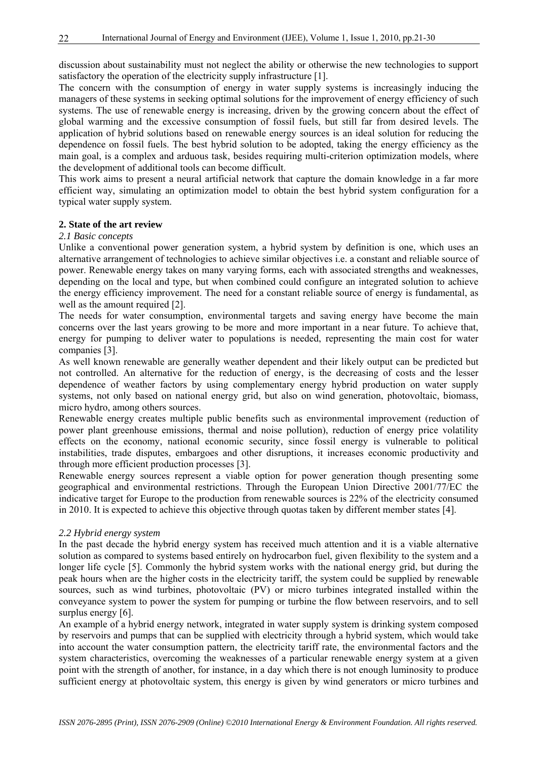discussion about sustainability must not neglect the ability or otherwise the new technologies to support satisfactory the operation of the electricity supply infrastructure [1].

The concern with the consumption of energy in water supply systems is increasingly inducing the managers of these systems in seeking optimal solutions for the improvement of energy efficiency of such systems. The use of renewable energy is increasing, driven by the growing concern about the effect of global warming and the excessive consumption of fossil fuels, but still far from desired levels. The application of hybrid solutions based on renewable energy sources is an ideal solution for reducing the dependence on fossil fuels. The best hybrid solution to be adopted, taking the energy efficiency as the main goal, is a complex and arduous task, besides requiring multi-criterion optimization models, where the development of additional tools can become difficult.

This work aims to present a neural artificial network that capture the domain knowledge in a far more efficient way, simulating an optimization model to obtain the best hybrid system configuration for a typical water supply system.

#### **2. State of the art review**

#### *2.1 Basic concepts*

Unlike a conventional power generation system, a hybrid system by definition is one, which uses an alternative arrangement of technologies to achieve similar objectives i.e. a constant and reliable source of power. Renewable energy takes on many varying forms, each with associated strengths and weaknesses, depending on the local and type, but when combined could configure an integrated solution to achieve the energy efficiency improvement. The need for a constant reliable source of energy is fundamental, as well as the amount required [2].

The needs for water consumption, environmental targets and saving energy have become the main concerns over the last years growing to be more and more important in a near future. To achieve that, energy for pumping to deliver water to populations is needed, representing the main cost for water companies [3].

As well known renewable are generally weather dependent and their likely output can be predicted but not controlled. An alternative for the reduction of energy, is the decreasing of costs and the lesser dependence of weather factors by using complementary energy hybrid production on water supply systems, not only based on national energy grid, but also on wind generation, photovoltaic, biomass, micro hydro, among others sources.

Renewable energy creates multiple public benefits such as environmental improvement (reduction of power plant greenhouse emissions, thermal and noise pollution), reduction of energy price volatility effects on the economy, national economic security, since fossil energy is vulnerable to political instabilities, trade disputes, embargoes and other disruptions, it increases economic productivity and through more efficient production processes [3].

Renewable energy sources represent a viable option for power generation though presenting some geographical and environmental restrictions. Through the European Union Directive 2001/77/EC the indicative target for Europe to the production from renewable sources is 22% of the electricity consumed in 2010. It is expected to achieve this objective through quotas taken by different member states [4].

#### *2.2 Hybrid energy system*

In the past decade the hybrid energy system has received much attention and it is a viable alternative solution as compared to systems based entirely on hydrocarbon fuel, given flexibility to the system and a longer life cycle [5]. Commonly the hybrid system works with the national energy grid, but during the peak hours when are the higher costs in the electricity tariff, the system could be supplied by renewable sources, such as wind turbines, photovoltaic (PV) or micro turbines integrated installed within the conveyance system to power the system for pumping or turbine the flow between reservoirs, and to sell surplus energy [6].

An example of a hybrid energy network, integrated in water supply system is drinking system composed by reservoirs and pumps that can be supplied with electricity through a hybrid system, which would take into account the water consumption pattern, the electricity tariff rate, the environmental factors and the system characteristics, overcoming the weaknesses of a particular renewable energy system at a given point with the strength of another, for instance, in a day which there is not enough luminosity to produce sufficient energy at photovoltaic system, this energy is given by wind generators or micro turbines and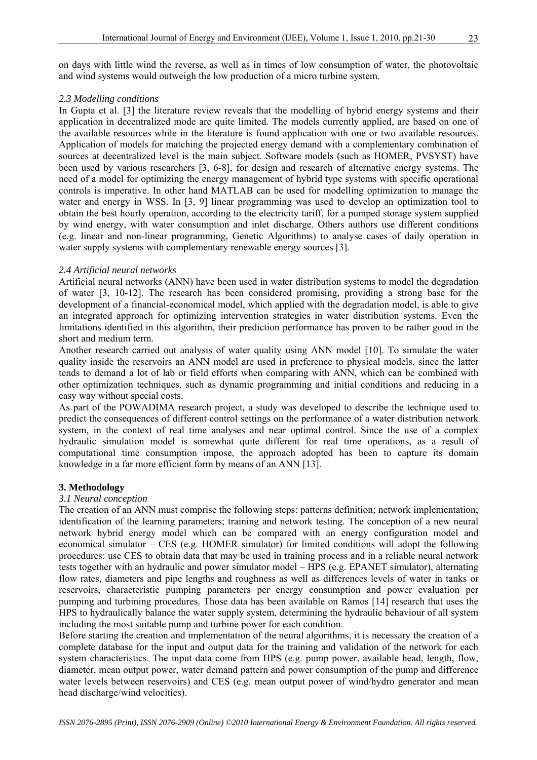on days with little wind the reverse, as well as in times of low consumption of water, the photovoltaic and wind systems would outweigh the low production of a micro turbine system.

#### *2.3 Modelling conditions*

In Gupta et al. [3] the literature review reveals that the modelling of hybrid energy systems and their application in decentralized mode are quite limited. The models currently applied, are based on one of the available resources while in the literature is found application with one or two available resources. Application of models for matching the projected energy demand with a complementary combination of sources at decentralized level is the main subject. Software models (such as HOMER, PVSYST) have been used by various researchers [3, 6-8], for design and research of alternative energy systems. The need of a model for optimizing the energy management of hybrid type systems with specific operational controls is imperative. In other hand MATLAB can be used for modelling optimization to manage the water and energy in WSS. In [3, 9] linear programming was used to develop an optimization tool to obtain the best hourly operation, according to the electricity tariff, for a pumped storage system supplied by wind energy, with water consumption and inlet discharge. Others authors use different conditions (e.g. linear and non-linear programming, Genetic Algorithms) to analyse cases of daily operation in water supply systems with complementary renewable energy sources [3].

#### *2.4 Artificial neural networks*

Artificial neural networks (ANN) have been used in water distribution systems to model the degradation of water [3, 10-12]. The research has been considered promising, providing a strong base for the development of a financial-economical model, which applied with the degradation model, is able to give an integrated approach for optimizing intervention strategies in water distribution systems. Even the limitations identified in this algorithm, their prediction performance has proven to be rather good in the short and medium term.

Another research carried out analysis of water quality using ANN model [10]. To simulate the water quality inside the reservoirs an ANN model are used in preference to physical models, since the latter tends to demand a lot of lab or field efforts when comparing with ANN, which can be combined with other optimization techniques, such as dynamic programming and initial conditions and reducing in a easy way without special costs.

As part of the POWADIMA research project, a study was developed to describe the technique used to predict the consequences of different control settings on the performance of a water distribution network system, in the context of real time analyses and near optimal control. Since the use of a complex hydraulic simulation model is somewhat quite different for real time operations, as a result of computational time consumption impose, the approach adopted has been to capture its domain knowledge in a far more efficient form by means of an ANN [13].

#### **3. Methodology**

#### *3.1 Neural conception*

The creation of an ANN must comprise the following steps: patterns definition; network implementation; identification of the learning parameters; training and network testing. The conception of a new neural network hybrid energy model which can be compared with an energy configuration model and economical simulator – CES (e.g. HOMER simulator) for limited conditions will adopt the following procedures: use CES to obtain data that may be used in training process and in a reliable neural network tests together with an hydraulic and power simulator model – HPS (e.g. EPANET simulator), alternating flow rates, diameters and pipe lengths and roughness as well as differences levels of water in tanks or reservoirs, characteristic pumping parameters per energy consumption and power evaluation per pumping and turbining procedures. Those data has been available on Ramos [14] research that uses the HPS to hydraulically balance the water supply system, determining the hydraulic behaviour of all system including the most suitable pump and turbine power for each condition.

Before starting the creation and implementation of the neural algorithms, it is necessary the creation of a complete database for the input and output data for the training and validation of the network for each system characteristics. The input data come from HPS (e.g. pump power, available head, length, flow, diameter, mean output power, water demand pattern and power consumption of the pump and difference water levels between reservoirs) and CES (e.g. mean output power of wind/hydro generator and mean head discharge/wind velocities).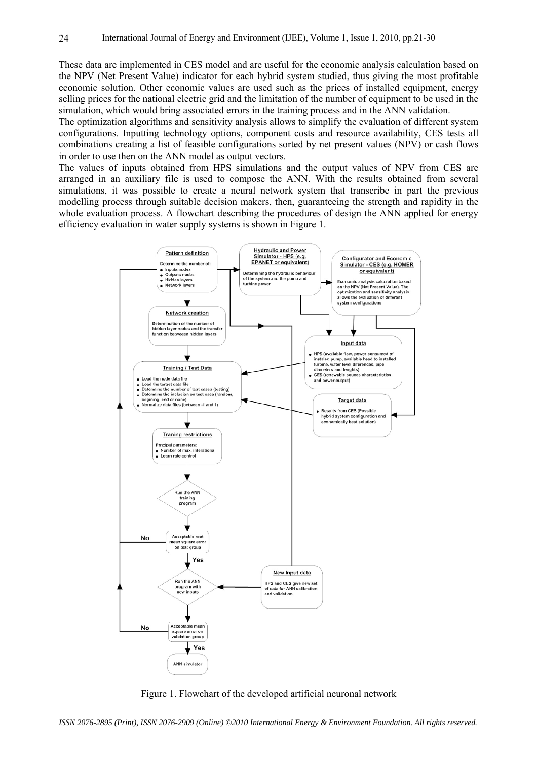These data are implemented in CES model and are useful for the economic analysis calculation based on the NPV (Net Present Value) indicator for each hybrid system studied, thus giving the most profitable economic solution. Other economic values are used such as the prices of installed equipment, energy selling prices for the national electric grid and the limitation of the number of equipment to be used in the simulation, which would bring associated errors in the training process and in the ANN validation.

The optimization algorithms and sensitivity analysis allows to simplify the evaluation of different system configurations. Inputting technology options, component costs and resource availability, CES tests all combinations creating a list of feasible configurations sorted by net present values (NPV) or cash flows in order to use then on the ANN model as output vectors.

The values of inputs obtained from HPS simulations and the output values of NPV from CES are arranged in an auxiliary file is used to compose the ANN. With the results obtained from several simulations, it was possible to create a neural network system that transcribe in part the previous modelling process through suitable decision makers, then, guaranteeing the strength and rapidity in the whole evaluation process. A flowchart describing the procedures of design the ANN applied for energy efficiency evaluation in water supply systems is shown in Figure 1.



Figure 1. Flowchart of the developed artificial neuronal network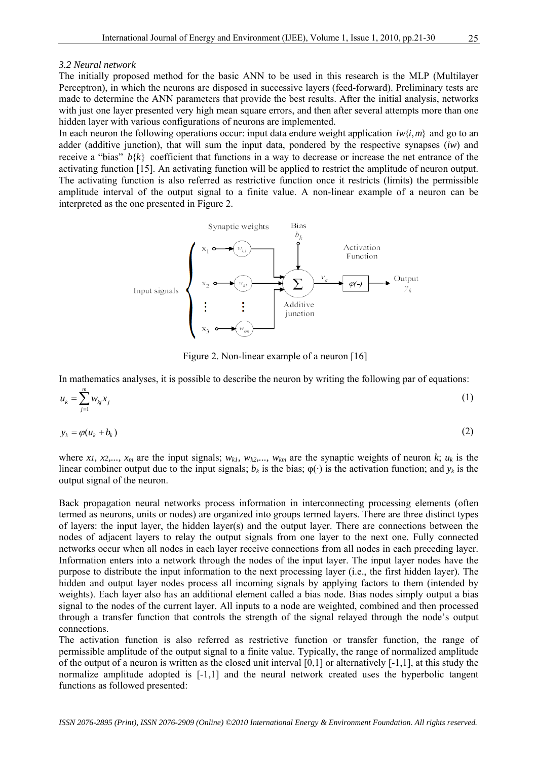#### *3.2 Neural network*

The initially proposed method for the basic ANN to be used in this research is the MLP (Multilayer Perceptron), in which the neurons are disposed in successive layers (feed-forward). Preliminary tests are made to determine the ANN parameters that provide the best results. After the initial analysis, networks with just one layer presented very high mean square errors, and then after several attempts more than one hidden layer with various configurations of neurons are implemented.

In each neuron the following operations occur: input data endure weight application  $iw\{i, m\}$  and go to an adder (additive junction), that will sum the input data, pondered by the respective synapses (*iw*) and receive a "bias"  $b\{k\}$  coefficient that functions in a way to decrease or increase the net entrance of the activating function [15]. An activating function will be applied to restrict the amplitude of neuron output. The activating function is also referred as restrictive function once it restricts (limits) the permissible amplitude interval of the output signal to a finite value. A non-linear example of a neuron can be interpreted as the one presented in Figure 2.



Figure 2. Non-linear example of a neuron [16]

In mathematics analyses, it is possible to describe the neuron by writing the following par of equations:

$$
u_k = \sum_{j=1}^m w_{kj} x_j \tag{1}
$$

$$
y_k = \varphi(u_k + b_k) \tag{2}
$$

where *x1, x2,..., x<sub>m</sub>* are the input signals;  $w_{kl}$ ,  $w_{k2}$ ,...,  $w_{km}$  are the synaptic weights of neuron  $k$ ;  $u_k$  is the linear combiner output due to the input signals;  $b_k$  is the bias;  $\varphi(\cdot)$  is the activation function; and  $y_k$  is the output signal of the neuron.

Back propagation neural networks process information in interconnecting processing elements (often termed as neurons, units or nodes) are organized into groups termed layers. There are three distinct types of layers: the input layer, the hidden layer(s) and the output layer. There are connections between the nodes of adjacent layers to relay the output signals from one layer to the next one. Fully connected networks occur when all nodes in each layer receive connections from all nodes in each preceding layer. Information enters into a network through the nodes of the input layer. The input layer nodes have the purpose to distribute the input information to the next processing layer (i.e., the first hidden layer). The hidden and output layer nodes process all incoming signals by applying factors to them (intended by weights). Each layer also has an additional element called a bias node. Bias nodes simply output a bias signal to the nodes of the current layer. All inputs to a node are weighted, combined and then processed through a transfer function that controls the strength of the signal relayed through the node's output connections.

The activation function is also referred as restrictive function or transfer function, the range of permissible amplitude of the output signal to a finite value. Typically, the range of normalized amplitude of the output of a neuron is written as the closed unit interval  $[0,1]$  or alternatively  $[-1,1]$ , at this study the normalize amplitude adopted is [-1,1] and the neural network created uses the hyperbolic tangent functions as followed presented: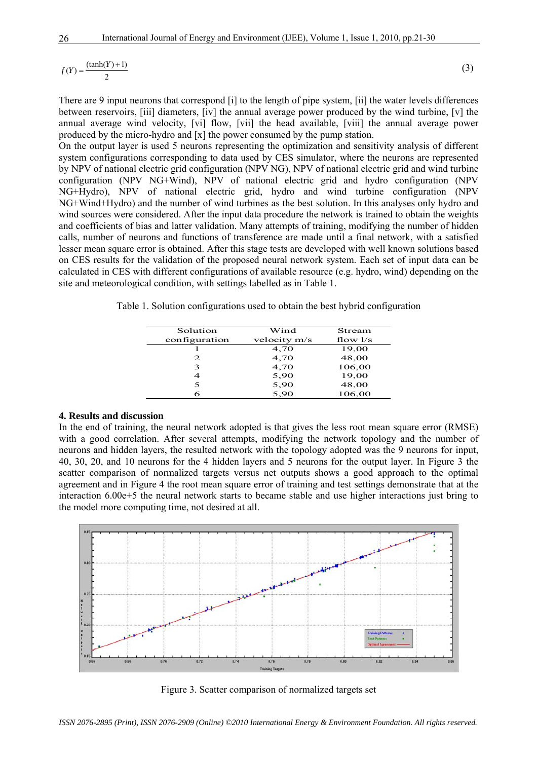$f(Y) = \frac{(\tanh(Y) + 1)}{2}$  (3)

There are 9 input neurons that correspond [i] to the length of pipe system, [ii] the water levels differences between reservoirs, [iii] diameters, [iv] the annual average power produced by the wind turbine, [v] the annual average wind velocity, [vi] flow, [vii] the head available, [viii] the annual average power produced by the micro-hydro and [x] the power consumed by the pump station.

On the output layer is used 5 neurons representing the optimization and sensitivity analysis of different system configurations corresponding to data used by CES simulator, where the neurons are represented by NPV of national electric grid configuration (NPV NG), NPV of national electric grid and wind turbine configuration (NPV NG+Wind), NPV of national electric grid and hydro configuration (NPV NG+Hydro), NPV of national electric grid, hydro and wind turbine configuration (NPV NG+Wind+Hydro) and the number of wind turbines as the best solution. In this analyses only hydro and wind sources were considered. After the input data procedure the network is trained to obtain the weights and coefficients of bias and latter validation. Many attempts of training, modifying the number of hidden calls, number of neurons and functions of transference are made until a final network, with a satisfied lesser mean square error is obtained. After this stage tests are developed with well known solutions based on CES results for the validation of the proposed neural network system. Each set of input data can be calculated in CES with different configurations of available resource (e.g. hydro, wind) depending on the site and meteorological condition, with settings labelled as in Table 1.

Table 1. Solution configurations used to obtain the best hybrid configuration

| Solution      | Wind         | Stream     |
|---------------|--------------|------------|
| configuration | velocity m/s | flow $1/s$ |
|               | 4,70         | 19,00      |
| 2             | 4,70         | 48,00      |
| 3             | 4,70         | 106,00     |
| 4             | 5,90         | 19,00      |
| 5             | 5,90         | 48,00      |
|               | 5,90         | 106,00     |

#### **4. Results and discussion**

In the end of training, the neural network adopted is that gives the less root mean square error (RMSE) with a good correlation. After several attempts, modifying the network topology and the number of neurons and hidden layers, the resulted network with the topology adopted was the 9 neurons for input, 40, 30, 20, and 10 neurons for the 4 hidden layers and 5 neurons for the output layer. In Figure 3 the scatter comparison of normalized targets versus net outputs shows a good approach to the optimal agreement and in Figure 4 the root mean square error of training and test settings demonstrate that at the interaction 6.00e+5 the neural network starts to became stable and use higher interactions just bring to the model more computing time, not desired at all.



Figure 3. Scatter comparison of normalized targets set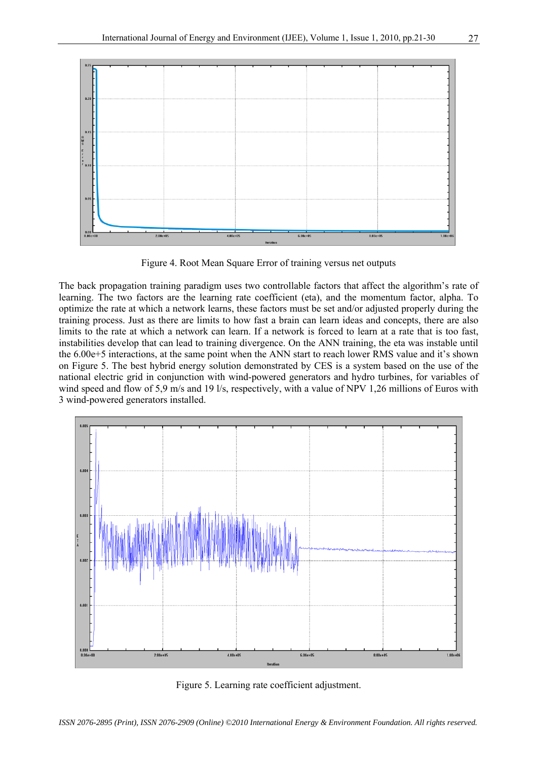

Figure 4. Root Mean Square Error of training versus net outputs

The back propagation training paradigm uses two controllable factors that affect the algorithm's rate of learning. The two factors are the learning rate coefficient (eta), and the momentum factor, alpha. To optimize the rate at which a network learns, these factors must be set and/or adjusted properly during the training process. Just as there are limits to how fast a brain can learn ideas and concepts, there are also limits to the rate at which a network can learn. If a network is forced to learn at a rate that is too fast, instabilities develop that can lead to training divergence. On the ANN training, the eta was instable until the 6.00e+5 interactions, at the same point when the ANN start to reach lower RMS value and it's shown on Figure 5. The best hybrid energy solution demonstrated by CES is a system based on the use of the national electric grid in conjunction with wind-powered generators and hydro turbines, for variables of wind speed and flow of 5,9 m/s and 19 l/s, respectively, with a value of NPV 1,26 millions of Euros with 3 wind-powered generators installed.



Figure 5. Learning rate coefficient adjustment.

*ISSN 2076-2895 (Print), ISSN 2076-2909 (Online) ©2010 International Energy & Environment Foundation. All rights reserved.*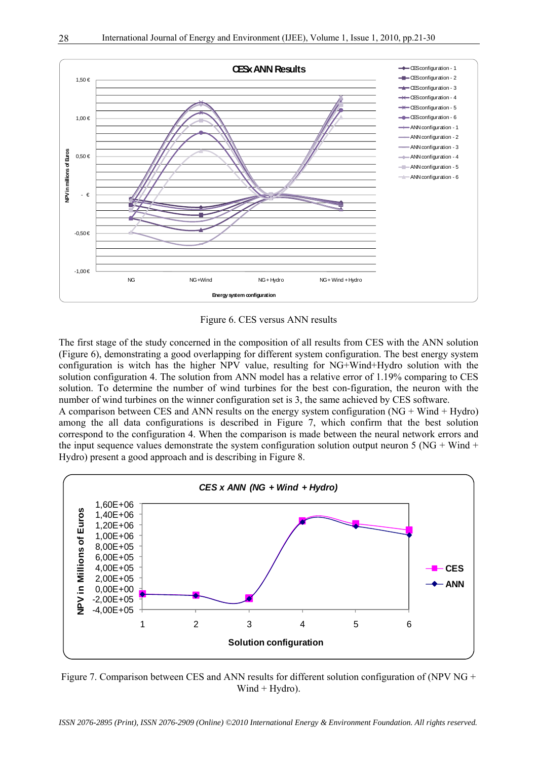

Figure 6. CES versus ANN results

The first stage of the study concerned in the composition of all results from CES with the ANN solution (Figure 6), demonstrating a good overlapping for different system configuration. The best energy system configuration is witch has the higher NPV value, resulting for NG+Wind+Hydro solution with the solution configuration 4. The solution from ANN model has a relative error of 1.19% comparing to CES solution. To determine the number of wind turbines for the best con-figuration, the neuron with the number of wind turbines on the winner configuration set is 3, the same achieved by CES software. A comparison between CES and ANN results on the energy system configuration  $(NG + Wind + Hydro)$ among the all data configurations is described in Figure 7, which confirm that the best solution correspond to the configuration 4. When the comparison is made between the neural network errors and the input sequence values demonstrate the system configuration solution output neuron 5 (NG + Wind + Hydro) present a good approach and is describing in Figure 8.



Figure 7. Comparison between CES and ANN results for different solution configuration of (NPV NG +  $Wind + Hvdro$ ).

*ISSN 2076-2895 (Print), ISSN 2076-2909 (Online) ©2010 International Energy & Environment Foundation. All rights reserved.*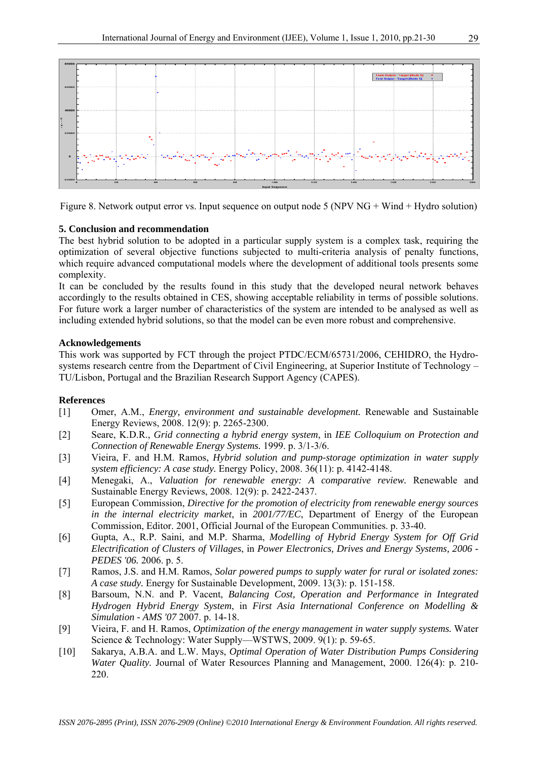

Figure 8. Network output error vs. Input sequence on output node 5 (NPV NG + Wind + Hydro solution)

### **5. Conclusion and recommendation**

The best hybrid solution to be adopted in a particular supply system is a complex task, requiring the optimization of several objective functions subjected to multi-criteria analysis of penalty functions, which require advanced computational models where the development of additional tools presents some complexity.

It can be concluded by the results found in this study that the developed neural network behaves accordingly to the results obtained in CES, showing acceptable reliability in terms of possible solutions. For future work a larger number of characteristics of the system are intended to be analysed as well as including extended hybrid solutions, so that the model can be even more robust and comprehensive.

#### **Acknowledgements**

This work was supported by FCT through the project PTDC/ECM/65731/2006, CEHIDRO, the Hydrosystems research centre from the Department of Civil Engineering, at Superior Institute of Technology – TU/Lisbon, Portugal and the Brazilian Research Support Agency (CAPES).

#### **References**

- [1] Omer, A.M., *Energy, environment and sustainable development.* Renewable and Sustainable Energy Reviews, 2008. 12(9): p. 2265-2300.
- [2] Seare, K.D.R., *Grid connecting a hybrid energy system*, in *IEE Colloquium on Protection and Connection of Renewable Energy Systems.* 1999. p. 3/1-3/6.
- [3] Vieira, F. and H.M. Ramos, *Hybrid solution and pump-storage optimization in water supply system efficiency: A case study.* Energy Policy, 2008. 36(11): p. 4142-4148.
- [4] Menegaki, A., *Valuation for renewable energy: A comparative review.* Renewable and Sustainable Energy Reviews, 2008. 12(9): p. 2422-2437.
- [5] European Commission, *Directive for the promotion of electricity from renewable energy sources in the internal electricity market*, in *2001/77/EC*, Department of Energy of the European Commission, Editor. 2001, Official Journal of the European Communities. p. 33-40.
- [6] Gupta, A., R.P. Saini, and M.P. Sharma, *Modelling of Hybrid Energy System for Off Grid Electrification of Clusters of Villages*, in *Power Electronics, Drives and Energy Systems, 2006 - PEDES '06.* 2006. p. 5.
- [7] Ramos, J.S. and H.M. Ramos, *Solar powered pumps to supply water for rural or isolated zones: A case study.* Energy for Sustainable Development, 2009. 13(3): p. 151-158.
- [8] Barsoum, N.N. and P. Vacent, *Balancing Cost, Operation and Performance in Integrated Hydrogen Hybrid Energy System*, in *First Asia International Conference on Modelling & Simulation - AMS '07* 2007. p. 14-18.
- [9] Vieira, F. and H. Ramos, *Optimization of the energy management in water supply systems.* Water Science & Technology: Water Supply—WSTWS, 2009. 9(1): p. 59-65.
- [10] Sakarya, A.B.A. and L.W. Mays, *Optimal Operation of Water Distribution Pumps Considering Water Quality.* Journal of Water Resources Planning and Management, 2000. 126(4): p. 210-220.